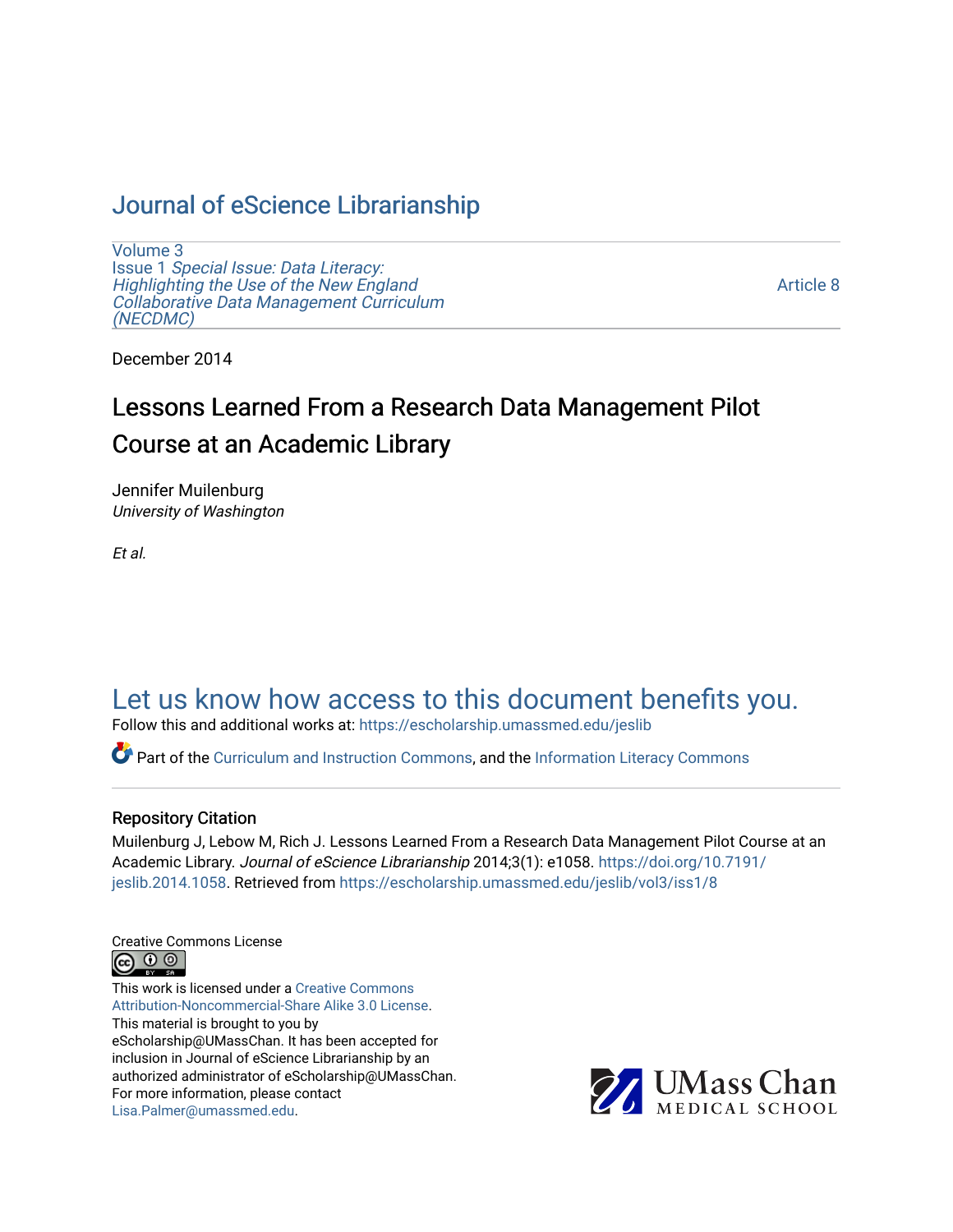# [Journal of eScience Librarianship](https://escholarship.umassmed.edu/jeslib)

[Volume 3](https://escholarship.umassmed.edu/jeslib/vol3) Issue 1 [Special Issue: Data Literacy:](https://escholarship.umassmed.edu/jeslib/vol3/iss1) [Highlighting the Use of the New England](https://escholarship.umassmed.edu/jeslib/vol3/iss1) [Collaborative Data Management Curriculum](https://escholarship.umassmed.edu/jeslib/vol3/iss1) [\(NECDMC\)](https://escholarship.umassmed.edu/jeslib/vol3/iss1) 

[Article 8](https://escholarship.umassmed.edu/jeslib/vol3/iss1/8) 

December 2014

# Lessons Learned From a Research Data Management Pilot Course at an Academic Library

Jennifer Muilenburg University of Washington

Et al.

# [Let us know how access to this document benefits you.](https://arcsapps.umassmed.edu/redcap/surveys/?s=XWRHNF9EJE)

Follow this and additional works at: [https://escholarship.umassmed.edu/jeslib](https://escholarship.umassmed.edu/jeslib?utm_source=escholarship.umassmed.edu%2Fjeslib%2Fvol3%2Fiss1%2F8&utm_medium=PDF&utm_campaign=PDFCoverPages) 

Part of the [Curriculum and Instruction Commons,](http://network.bepress.com/hgg/discipline/786?utm_source=escholarship.umassmed.edu%2Fjeslib%2Fvol3%2Fiss1%2F8&utm_medium=PDF&utm_campaign=PDFCoverPages) and the [Information Literacy Commons](http://network.bepress.com/hgg/discipline/1243?utm_source=escholarship.umassmed.edu%2Fjeslib%2Fvol3%2Fiss1%2F8&utm_medium=PDF&utm_campaign=PDFCoverPages) 

#### Repository Citation

Muilenburg J, Lebow M, Rich J. Lessons Learned From a Research Data Management Pilot Course at an Academic Library. Journal of eScience Librarianship 2014;3(1): e1058. [https://doi.org/10.7191/](https://doi.org/10.7191/jeslib.2014.1058) [jeslib.2014.1058](https://doi.org/10.7191/jeslib.2014.1058). Retrieved from [https://escholarship.umassmed.edu/jeslib/vol3/iss1/8](https://escholarship.umassmed.edu/jeslib/vol3/iss1/8?utm_source=escholarship.umassmed.edu%2Fjeslib%2Fvol3%2Fiss1%2F8&utm_medium=PDF&utm_campaign=PDFCoverPages)

Creative Commons License



This work is licensed under a [Creative Commons](https://creativecommons.org/licenses/by-nc-sa/3.0/) [Attribution-Noncommercial-Share Alike 3.0 License](https://creativecommons.org/licenses/by-nc-sa/3.0/). This material is brought to you by eScholarship@UMassChan. It has been accepted for inclusion in Journal of eScience Librarianship by an authorized administrator of eScholarship@UMassChan. For more information, please contact [Lisa.Palmer@umassmed.edu](mailto:Lisa.Palmer@umassmed.edu).

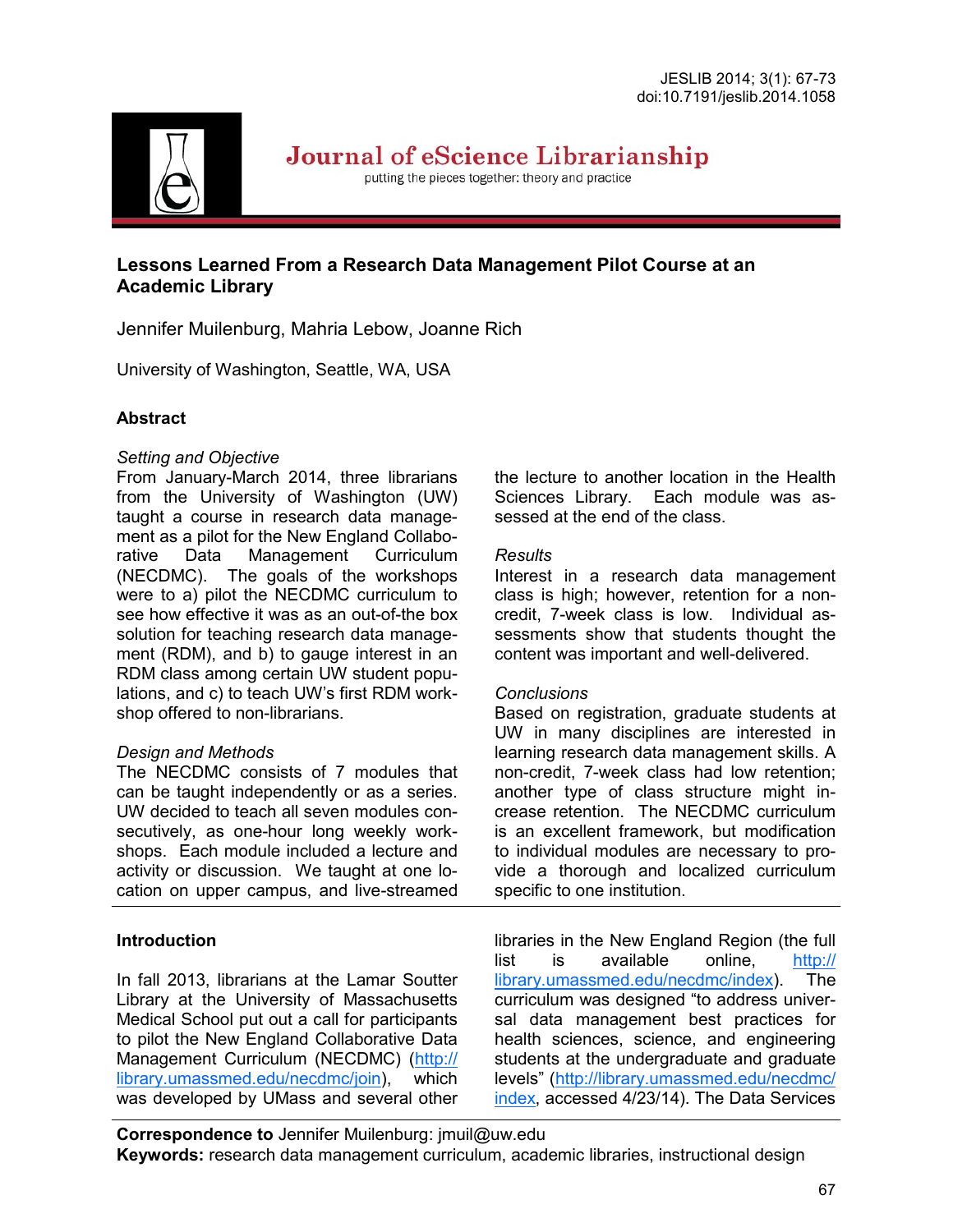

Journal of eScience Librarianship

putting the pieces together: theory and practice

# **Lessons Learned From a Research Data Management Pilot Course at an Academic Library**

Jennifer Muilenburg, Mahria Lebow, Joanne Rich

University of Washington, Seattle, WA, USA

### **Abstract**

#### *Setting and Objective*

From January-March 2014, three librarians from the University of Washington (UW) taught a course in research data management as a pilot for the New England Collaborative Data Management Curriculum (NECDMC). The goals of the workshops were to a) pilot the NECDMC curriculum to see how effective it was as an out-of-the box solution for teaching research data management (RDM), and b) to gauge interest in an RDM class among certain UW student populations, and c) to teach UW's first RDM workshop offered to non-librarians.

#### *Design and Methods*

The NECDMC consists of 7 modules that can be taught independently or as a series. UW decided to teach all seven modules consecutively, as one-hour long weekly workshops. Each module included a lecture and activity or discussion. We taught at one location on upper campus, and live-streamed

#### **Introduction**

In fall 2013, librarians at the Lamar Soutter Library at the University of Massachusetts Medical School put out a call for participants to pilot the New England Collaborative Data Management Curriculum (NECDMC) ([http://](http://library.umassmed.edu/necdmc/join) [library.umassmed.edu/necdmc/join\),](http://library.umassmed.edu/necdmc/join) which was developed by UMass and several other the lecture to another location in the Health Sciences Library. Each module was assessed at the end of the class.

#### *Results*

Interest in a research data management class is high; however, retention for a noncredit, 7-week class is low. Individual assessments show that students thought the content was important and well-delivered.

#### *Conclusions*

Based on registration, graduate students at UW in many disciplines are interested in learning research data management skills. A non-credit, 7-week class had low retention; another type of class structure might increase retention. The NECDMC curriculum is an excellent framework, but modification to individual modules are necessary to provide a thorough and localized curriculum specific to one institution.

libraries in the New England Region (the full list is available online, [http://](http://library.umassmed.edu/necdmc/index) [library.umassmed.edu/necdmc/index\).](http://library.umassmed.edu/necdmc/index) The curriculum was designed "to address universal data management best practices for health sciences, science, and engineering students at the undergraduate and graduate levels" ([http://library.umassmed.edu/necdmc/](http://library.umassmed.edu/necdmc/index) [index,](http://library.umassmed.edu/necdmc/index) accessed 4/23/14). The Data Services

**Correspondence to** Jennifer Muilenburg: jmuil@uw.edu **Keywords:** research data management curriculum, academic libraries, instructional design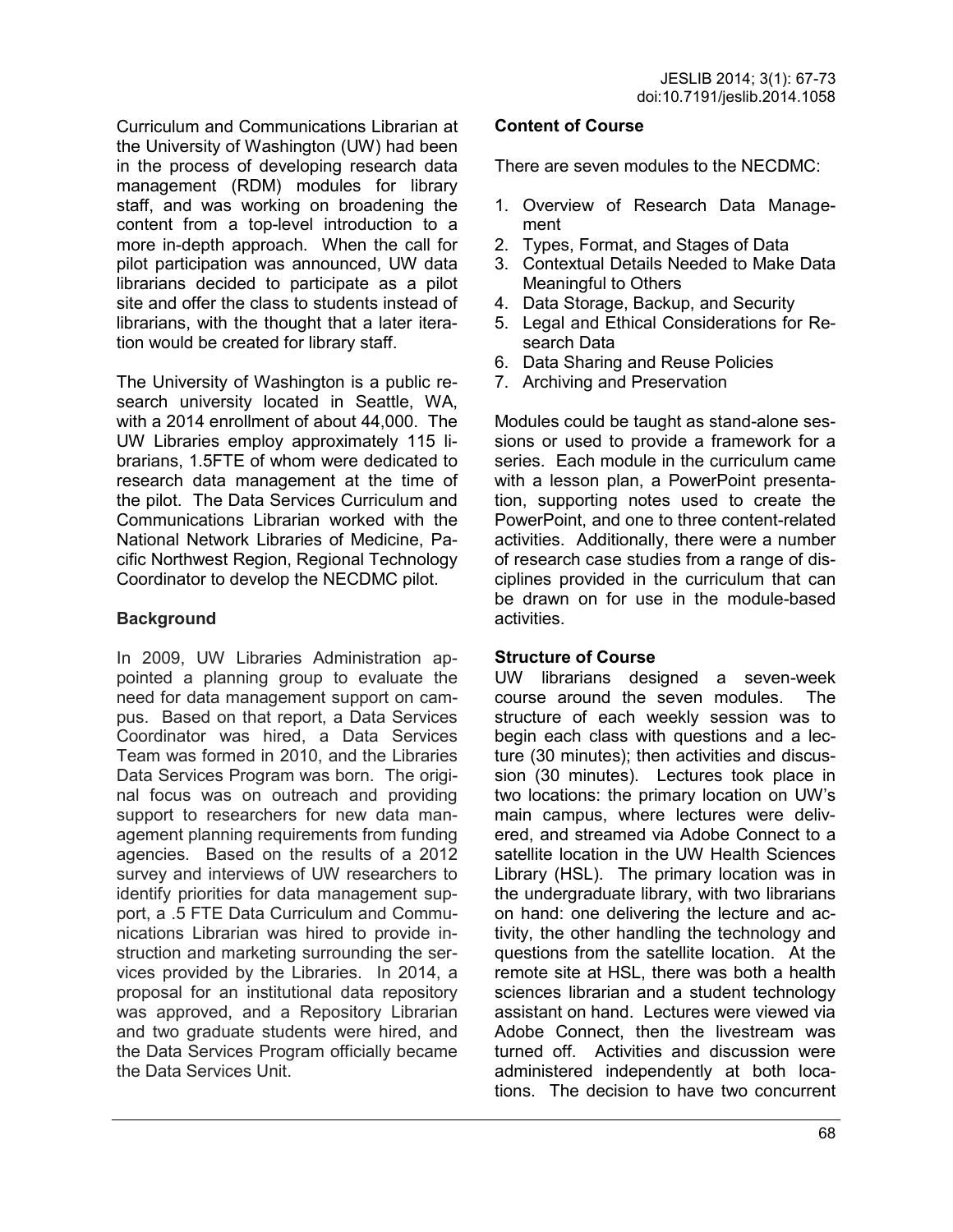Curriculum and Communications Librarian at the University of Washington (UW) had been in the process of developing research data management (RDM) modules for library staff, and was working on broadening the content from a top-level introduction to a more in-depth approach. When the call for pilot participation was announced, UW data librarians decided to participate as a pilot site and offer the class to students instead of librarians, with the thought that a later iteration would be created for library staff.

The University of Washington is a public research university located in Seattle, WA, with a 2014 enrollment of about 44,000. The UW Libraries employ approximately 115 librarians, 1.5FTE of whom were dedicated to research data management at the time of the pilot. The Data Services Curriculum and Communications Librarian worked with the National Network Libraries of Medicine, Pacific Northwest Region, Regional Technology Coordinator to develop the NECDMC pilot.

#### **Background**

In 2009, UW Libraries Administration appointed a planning group to evaluate the need for data management support on campus. Based on that report, a Data Services Coordinator was hired, a Data Services Team was formed in 2010, and the Libraries Data Services Program was born. The original focus was on outreach and providing support to researchers for new data management planning requirements from funding agencies. Based on the results of a 2012 survey and interviews of UW researchers to identify priorities for data management support, a .5 FTE Data Curriculum and Communications Librarian was hired to provide instruction and marketing surrounding the services provided by the Libraries. In 2014, a proposal for an institutional data repository was approved, and a Repository Librarian and two graduate students were hired, and the Data Services Program officially became the Data Services Unit.

#### **Content of Course**

There are seven modules to the NECDMC:

- 1. Overview of Research Data Management
- 2. Types, Format, and Stages of Data
- 3. Contextual Details Needed to Make Data Meaningful to Others
- 4. Data Storage, Backup, and Security
- 5. Legal and Ethical Considerations for Research Data
- 6. Data Sharing and Reuse Policies
- 7. Archiving and Preservation

Modules could be taught as stand-alone sessions or used to provide a framework for a series. Each module in the curriculum came with a lesson plan, a PowerPoint presentation, supporting notes used to create the PowerPoint, and one to three content-related activities. Additionally, there were a number of research case studies from a range of disciplines provided in the curriculum that can be drawn on for use in the module-based activities.

#### **Structure of Course**

UW librarians designed a seven-week course around the seven modules. The structure of each weekly session was to begin each class with questions and a lecture (30 minutes); then activities and discussion (30 minutes). Lectures took place in two locations: the primary location on UW's main campus, where lectures were delivered, and streamed via Adobe Connect to a satellite location in the UW Health Sciences Library (HSL). The primary location was in the undergraduate library, with two librarians on hand: one delivering the lecture and activity, the other handling the technology and questions from the satellite location. At the remote site at HSL, there was both a health sciences librarian and a student technology assistant on hand. Lectures were viewed via Adobe Connect, then the livestream was turned off. Activities and discussion were administered independently at both locations. The decision to have two concurrent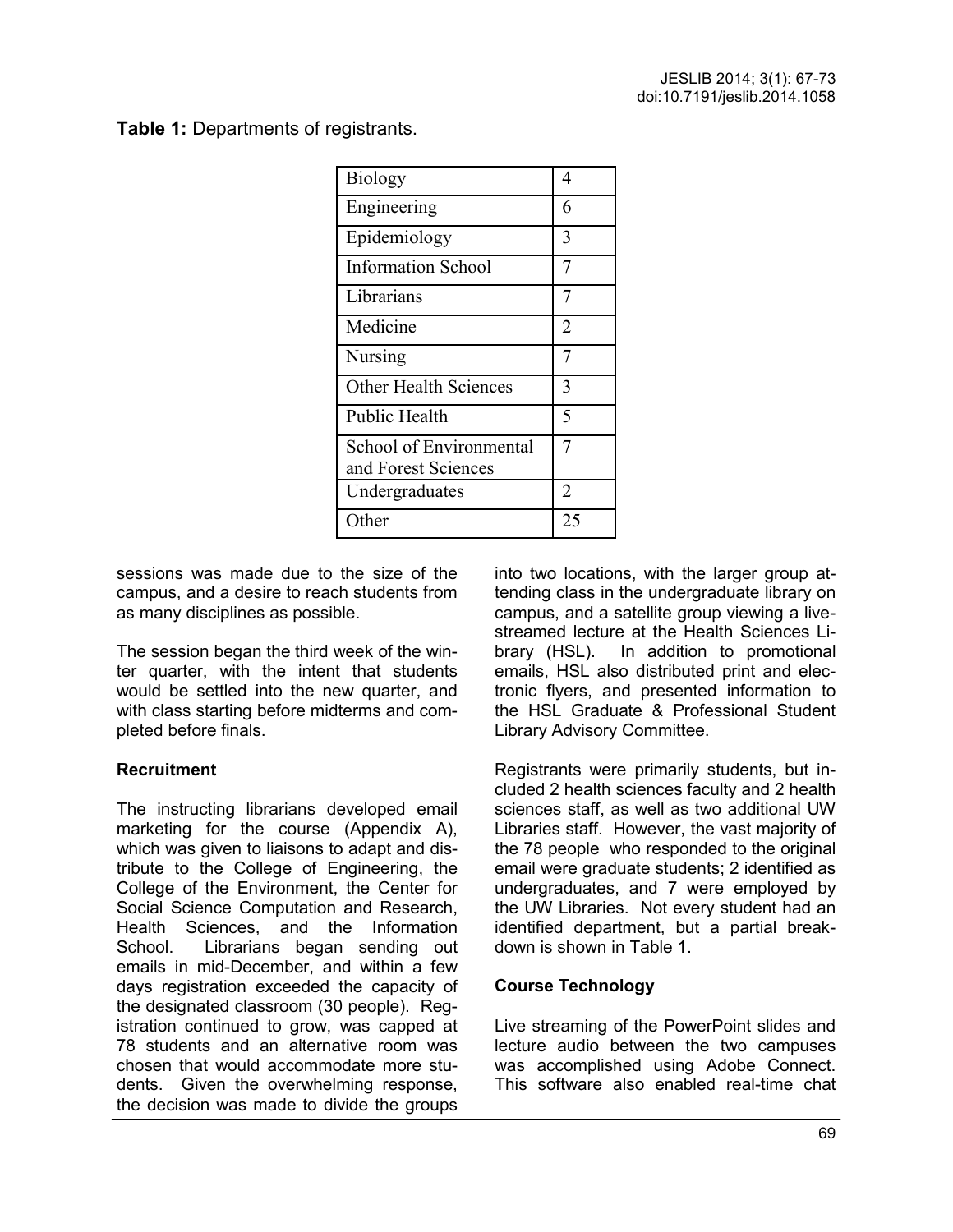**Table 1:** Departments of registrants.

| <b>Biology</b>                                 | 4              |
|------------------------------------------------|----------------|
| Engineering                                    | 6              |
| Epidemiology                                   | 3              |
| <b>Information School</b>                      | 7              |
| Librarians                                     | 7              |
| Medicine                                       | $\overline{2}$ |
| Nursing                                        | 7              |
| <b>Other Health Sciences</b>                   | 3              |
| <b>Public Health</b>                           | 5              |
| School of Environmental<br>and Forest Sciences | 7              |
| Undergraduates                                 | 2              |
| Other                                          | 25             |

sessions was made due to the size of the campus, and a desire to reach students from as many disciplines as possible.

The session began the third week of the winter quarter, with the intent that students would be settled into the new quarter, and with class starting before midterms and completed before finals.

# **Recruitment**

The instructing librarians developed email marketing for the course (Appendix A), which was given to liaisons to adapt and distribute to the College of Engineering, the College of the Environment, the Center for Social Science Computation and Research, Health Sciences, and the Information School. Librarians began sending out emails in mid-December, and within a few days registration exceeded the capacity of the designated classroom (30 people). Registration continued to grow, was capped at 78 students and an alternative room was chosen that would accommodate more students. Given the overwhelming response, the decision was made to divide the groups

into two locations, with the larger group attending class in the undergraduate library on campus, and a satellite group viewing a livestreamed lecture at the Health Sciences Library (HSL). In addition to promotional emails, HSL also distributed print and electronic flyers, and presented information to the HSL Graduate & Professional Student Library Advisory Committee.

Registrants were primarily students, but included 2 health sciences faculty and 2 health sciences staff, as well as two additional UW Libraries staff. However, the vast majority of the 78 people who responded to the original email were graduate students; 2 identified as undergraduates, and 7 were employed by the UW Libraries. Not every student had an identified department, but a partial breakdown is shown in Table 1.

#### **Course Technology**

Live streaming of the PowerPoint slides and lecture audio between the two campuses was accomplished using Adobe Connect. This software also enabled real-time chat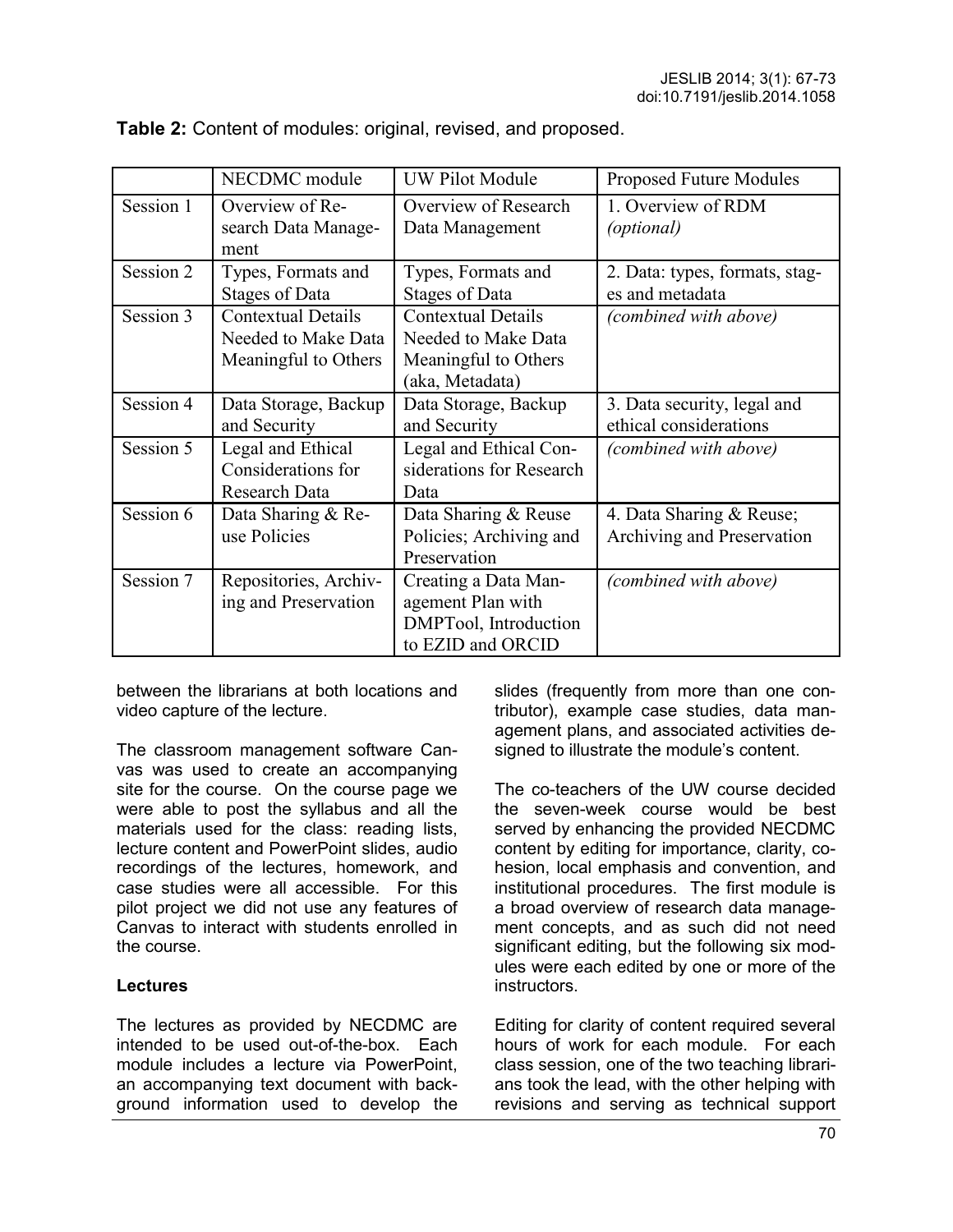|           | NECDMC module                                                            | <b>UW Pilot Module</b>                                                                      | Proposed Future Modules                                |
|-----------|--------------------------------------------------------------------------|---------------------------------------------------------------------------------------------|--------------------------------------------------------|
| Session 1 | Overview of Re-<br>search Data Manage-<br>ment                           | Overview of Research<br>Data Management                                                     | 1. Overview of RDM<br>(optional)                       |
| Session 2 | Types, Formats and<br><b>Stages of Data</b>                              | Types, Formats and<br><b>Stages of Data</b>                                                 | 2. Data: types, formats, stag-<br>es and metadata      |
| Session 3 | <b>Contextual Details</b><br>Needed to Make Data<br>Meaningful to Others | <b>Contextual Details</b><br>Needed to Make Data<br>Meaningful to Others<br>(aka, Metadata) | (combined with above)                                  |
| Session 4 | Data Storage, Backup<br>and Security                                     | Data Storage, Backup<br>and Security                                                        | 3. Data security, legal and<br>ethical considerations  |
| Session 5 | Legal and Ethical<br>Considerations for<br>Research Data                 | Legal and Ethical Con-<br>siderations for Research<br>Data                                  | (combined with above)                                  |
| Session 6 | Data Sharing & Re-<br>use Policies                                       | Data Sharing & Reuse<br>Policies; Archiving and<br>Preservation                             | 4. Data Sharing & Reuse;<br>Archiving and Preservation |
| Session 7 | Repositories, Archiv-<br>ing and Preservation                            | Creating a Data Man-<br>agement Plan with<br>DMPTool, Introduction<br>to EZID and ORCID     | (combined with above)                                  |

**Table 2:** Content of modules: original, revised, and proposed.

between the librarians at both locations and video capture of the lecture.

The classroom management software Canvas was used to create an accompanying site for the course. On the course page we were able to post the syllabus and all the materials used for the class: reading lists, lecture content and PowerPoint slides, audio recordings of the lectures, homework, and case studies were all accessible. For this pilot project we did not use any features of Canvas to interact with students enrolled in the course.

#### **Lectures**

The lectures as provided by NECDMC are intended to be used out-of-the-box. Each module includes a lecture via PowerPoint, an accompanying text document with background information used to develop the slides (frequently from more than one contributor), example case studies, data management plans, and associated activities designed to illustrate the module's content.

The co-teachers of the UW course decided the seven-week course would be best served by enhancing the provided NECDMC content by editing for importance, clarity, cohesion, local emphasis and convention, and institutional procedures. The first module is a broad overview of research data management concepts, and as such did not need significant editing, but the following six modules were each edited by one or more of the instructors.

Editing for clarity of content required several hours of work for each module. For each class session, one of the two teaching librarians took the lead, with the other helping with revisions and serving as technical support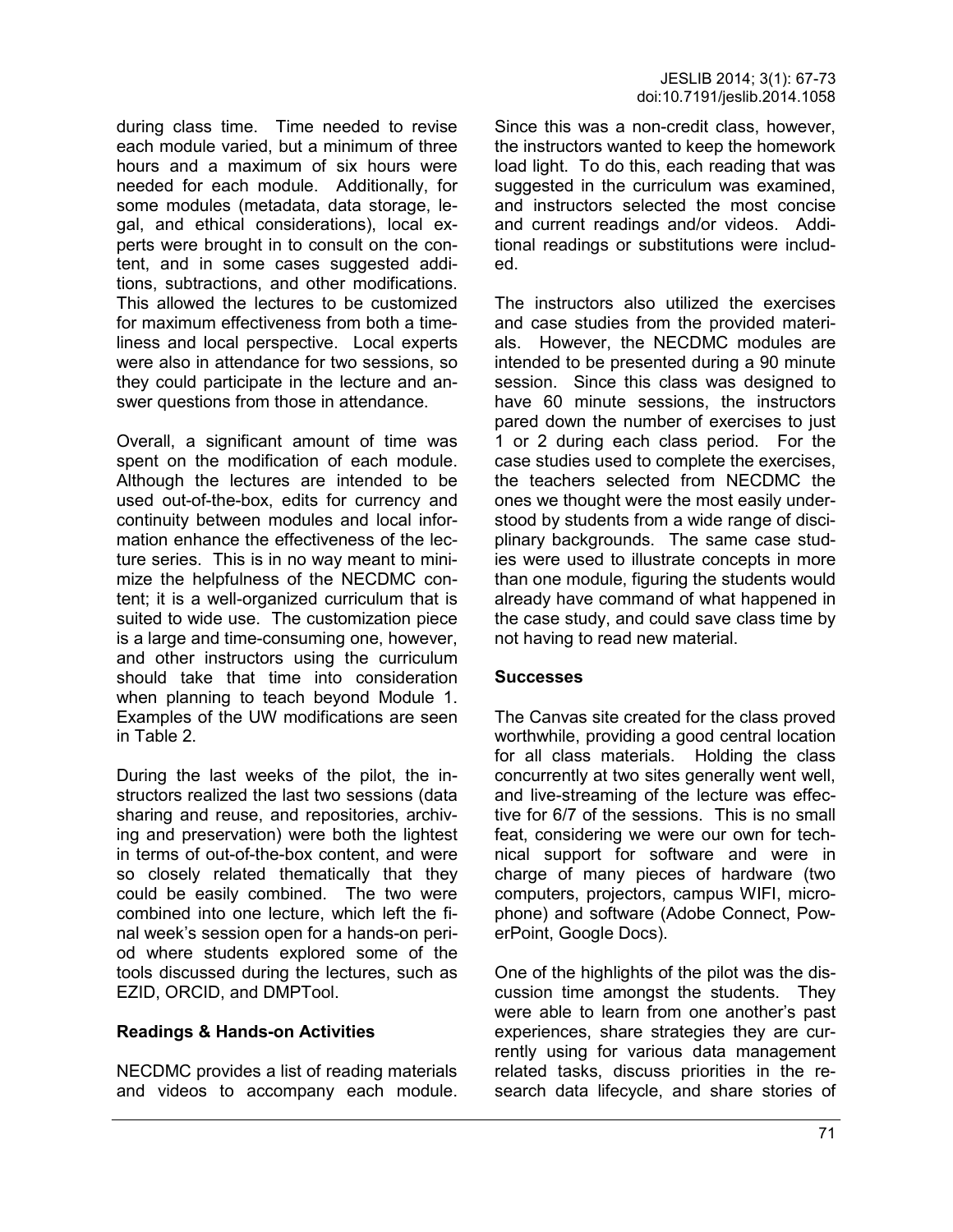during class time. Time needed to revise each module varied, but a minimum of three hours and a maximum of six hours were needed for each module. Additionally, for some modules (metadata, data storage, legal, and ethical considerations), local experts were brought in to consult on the content, and in some cases suggested additions, subtractions, and other modifications. This allowed the lectures to be customized for maximum effectiveness from both a timeliness and local perspective. Local experts were also in attendance for two sessions, so they could participate in the lecture and answer questions from those in attendance.

Overall, a significant amount of time was spent on the modification of each module. Although the lectures are intended to be used out-of-the-box, edits for currency and continuity between modules and local information enhance the effectiveness of the lecture series. This is in no way meant to minimize the helpfulness of the NECDMC content; it is a well-organized curriculum that is suited to wide use. The customization piece is a large and time-consuming one, however, and other instructors using the curriculum should take that time into consideration when planning to teach beyond Module 1. Examples of the UW modifications are seen in Table 2.

During the last weeks of the pilot, the instructors realized the last two sessions (data sharing and reuse, and repositories, archiving and preservation) were both the lightest in terms of out-of-the-box content, and were so closely related thematically that they could be easily combined. The two were combined into one lecture, which left the final week's session open for a hands-on period where students explored some of the tools discussed during the lectures, such as EZID, ORCID, and DMPTool.

#### **Readings & Hands-on Activities**

NECDMC provides a list of reading materials and videos to accompany each module.

Since this was a non-credit class, however, the instructors wanted to keep the homework load light. To do this, each reading that was suggested in the curriculum was examined, and instructors selected the most concise and current readings and/or videos. Additional readings or substitutions were included.

The instructors also utilized the exercises and case studies from the provided materials. However, the NECDMC modules are intended to be presented during a 90 minute session. Since this class was designed to have 60 minute sessions, the instructors pared down the number of exercises to just 1 or 2 during each class period. For the case studies used to complete the exercises, the teachers selected from NECDMC the ones we thought were the most easily understood by students from a wide range of disciplinary backgrounds. The same case studies were used to illustrate concepts in more than one module, figuring the students would already have command of what happened in the case study, and could save class time by not having to read new material.

#### **Successes**

The Canvas site created for the class proved worthwhile, providing a good central location for all class materials. Holding the class concurrently at two sites generally went well, and live-streaming of the lecture was effective for 6/7 of the sessions. This is no small feat, considering we were our own for technical support for software and were in charge of many pieces of hardware (two computers, projectors, campus WIFI, microphone) and software (Adobe Connect, PowerPoint, Google Docs).

One of the highlights of the pilot was the discussion time amongst the students. They were able to learn from one another's past experiences, share strategies they are currently using for various data management related tasks, discuss priorities in the research data lifecycle, and share stories of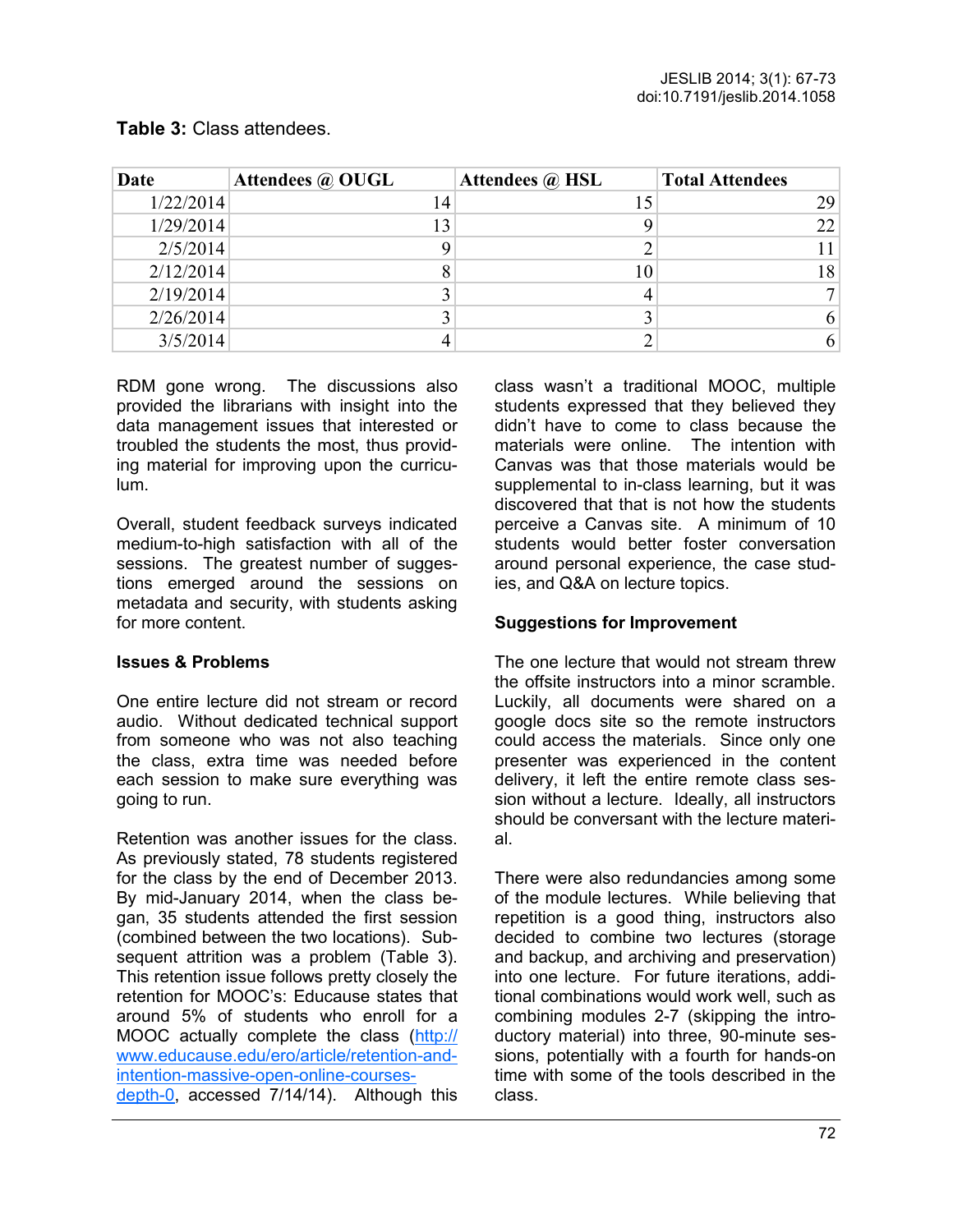| Date      | Attendees @ OUGL | Attendees @ HSL | <b>Total Attendees</b> |
|-----------|------------------|-----------------|------------------------|
| 1/22/2014 | 14               |                 | 29                     |
| 1/29/2014 | 13               |                 | 22                     |
| 2/5/2014  |                  |                 | 11                     |
| 2/12/2014 |                  | 10              | 18                     |
| 2/19/2014 |                  |                 |                        |
| 2/26/2014 |                  |                 | 6                      |
| 3/5/2014  |                  |                 | 6                      |

#### **Table 3:** Class attendees.

RDM gone wrong. The discussions also provided the librarians with insight into the data management issues that interested or troubled the students the most, thus providing material for improving upon the curriculum.

Overall, student feedback surveys indicated medium-to-high satisfaction with all of the sessions. The greatest number of suggestions emerged around the sessions on metadata and security, with students asking for more content.

#### **Issues & Problems**

One entire lecture did not stream or record audio. Without dedicated technical support from someone who was not also teaching the class, extra time was needed before each session to make sure everything was going to run.

Retention was another issues for the class. As previously stated, 78 students registered for the class by the end of December 2013. By mid-January 2014, when the class began, 35 students attended the first session (combined between the two locations). Subsequent attrition was a problem (Table 3). This retention issue follows pretty closely the retention for MOOC's: Educause states that around 5% of students who enroll for a MOOC actually complete the class ([http://](http://www.educause.edu/ero/article/retention-and-intention-massive-open-online-courses-depth-0) [www.educause.edu/ero/article/retention](http://www.educause.edu/ero/article/retention-and-intention-massive-open-online-courses-depth-0)-and[intention](http://www.educause.edu/ero/article/retention-and-intention-massive-open-online-courses-depth-0)-massive-open-online-courses[depth](http://www.educause.edu/ero/article/retention-and-intention-massive-open-online-courses-depth-0)-0, accessed 7/14/14). Although this class wasn't a traditional MOOC, multiple students expressed that they believed they didn't have to come to class because the materials were online. The intention with Canvas was that those materials would be supplemental to in-class learning, but it was discovered that that is not how the students perceive a Canvas site. A minimum of 10 students would better foster conversation around personal experience, the case studies, and Q&A on lecture topics.

# **Suggestions for Improvement**

The one lecture that would not stream threw the offsite instructors into a minor scramble. Luckily, all documents were shared on a google docs site so the remote instructors could access the materials. Since only one presenter was experienced in the content delivery, it left the entire remote class session without a lecture. Ideally, all instructors should be conversant with the lecture material.

There were also redundancies among some of the module lectures. While believing that repetition is a good thing, instructors also decided to combine two lectures (storage and backup, and archiving and preservation) into one lecture. For future iterations, additional combinations would work well, such as combining modules 2-7 (skipping the introductory material) into three, 90-minute sessions, potentially with a fourth for hands-on time with some of the tools described in the class.